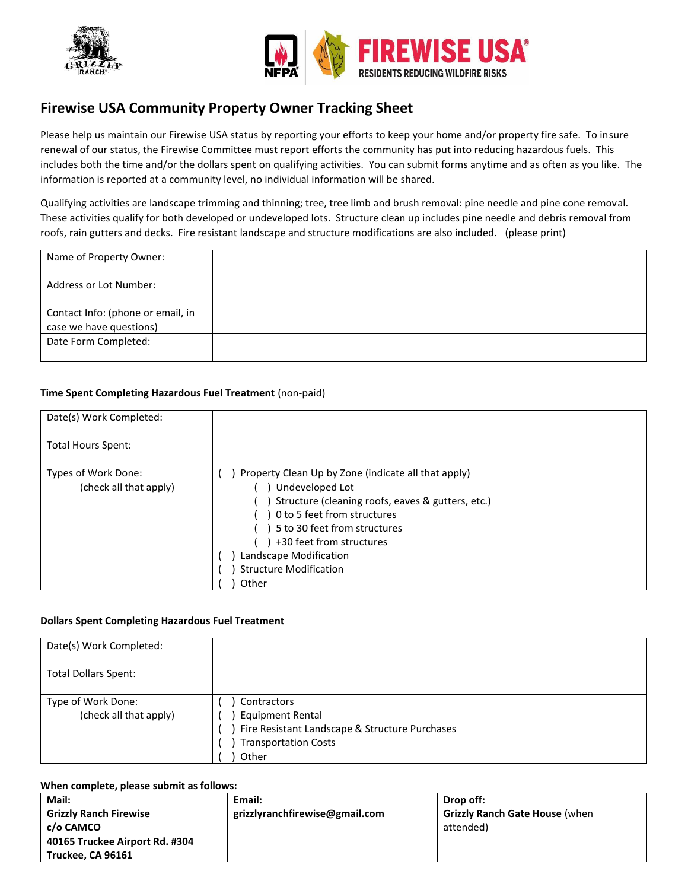



# **Firewise USA Community Property Owner Tracking Sheet**

Please help us maintain our Firewise USA status by reporting your efforts to keep your home and/or property fire safe. To insure renewal of our status, the Firewise Committee must report efforts the community has put into reducing hazardous fuels. This includes both the time and/or the dollars spent on qualifying activities. You can submit forms anytime and as often as you like. The information is reported at a community level, no individual information will be shared.

Qualifying activities are landscape trimming and thinning; tree, tree limb and brush removal: pine needle and pine cone removal. These activities qualify for both developed or undeveloped lots. Structure clean up includes pine needle and debris removal from roofs, rain gutters and decks. Fire resistant landscape and structure modifications are also included. (please print)

| Name of Property Owner:                                      |  |
|--------------------------------------------------------------|--|
| <b>Address or Lot Number:</b>                                |  |
| Contact Info: (phone or email, in<br>case we have questions) |  |
| Date Form Completed:                                         |  |

## **Time Spent Completing Hazardous Fuel Treatment** (non-paid)

| Date(s) Work Completed:                       |                                                                                                                                                                                                                                                                                   |
|-----------------------------------------------|-----------------------------------------------------------------------------------------------------------------------------------------------------------------------------------------------------------------------------------------------------------------------------------|
| <b>Total Hours Spent:</b>                     |                                                                                                                                                                                                                                                                                   |
| Types of Work Done:<br>(check all that apply) | Property Clean Up by Zone (indicate all that apply)<br>Undeveloped Lot<br>Structure (cleaning roofs, eaves & gutters, etc.)<br>0 to 5 feet from structures<br>5 to 30 feet from structures<br>+30 feet from structures<br>Landscape Modification<br><b>Structure Modification</b> |
|                                               | Other                                                                                                                                                                                                                                                                             |

### **Dollars Spent Completing Hazardous Fuel Treatment**

| Date(s) Work Completed:                      |                                                                                                                                  |
|----------------------------------------------|----------------------------------------------------------------------------------------------------------------------------------|
| <b>Total Dollars Spent:</b>                  |                                                                                                                                  |
| Type of Work Done:<br>(check all that apply) | Contractors<br><b>Equipment Rental</b><br>Fire Resistant Landscape & Structure Purchases<br><b>Transportation Costs</b><br>Other |

#### **When complete, please submit as follows:**

| Mail:                          | Email:                         | Drop off:                             |  |  |
|--------------------------------|--------------------------------|---------------------------------------|--|--|
| <b>Grizzly Ranch Firewise</b>  | grizzlyranchfirewise@gmail.com | <b>Grizzly Ranch Gate House (when</b> |  |  |
| c/o CAMCO                      |                                | attended)                             |  |  |
| 40165 Truckee Airport Rd. #304 |                                |                                       |  |  |
| Truckee, CA 96161              |                                |                                       |  |  |